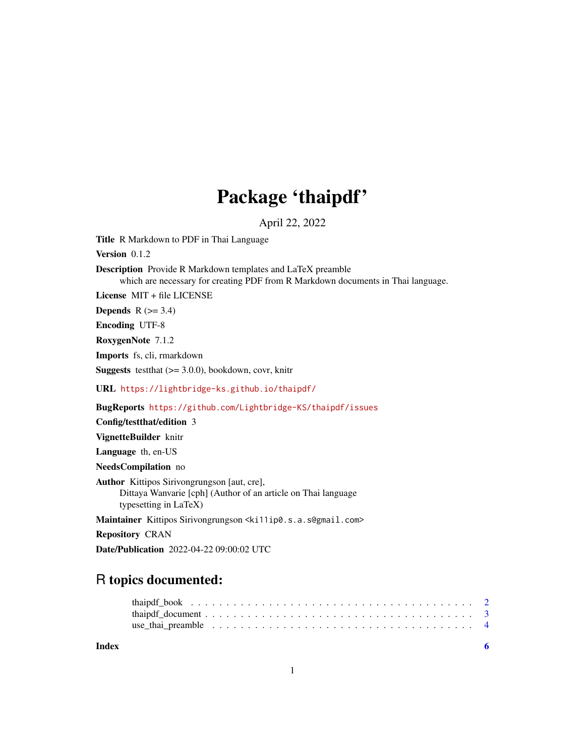## Package 'thaipdf'

April 22, 2022

<span id="page-0-0"></span>Title R Markdown to PDF in Thai Language

Version 0.1.2

Description Provide R Markdown templates and LaTeX preamble which are necessary for creating PDF from R Markdown documents in Thai language.

License MIT + file LICENSE

Depends  $R$  ( $>= 3.4$ )

Encoding UTF-8

RoxygenNote 7.1.2

Imports fs, cli, rmarkdown

**Suggests** testthat  $(>= 3.0.0)$ , bookdown, covr, knitr

URL <https://lightbridge-ks.github.io/thaipdf/>

BugReports <https://github.com/Lightbridge-KS/thaipdf/issues>

Config/testthat/edition 3

VignetteBuilder knitr

Language th, en-US

NeedsCompilation no

Author Kittipos Sirivongrungson [aut, cre], Dittaya Wanvarie [cph] (Author of an article on Thai language typesetting in LaTeX)

Maintainer Kittipos Sirivongrungson <ki11ip0.s.a.s@gmail.com>

Repository CRAN

Date/Publication 2022-04-22 09:00:02 UTC

### R topics documented:

#### **Index** [6](#page-5-0) **6**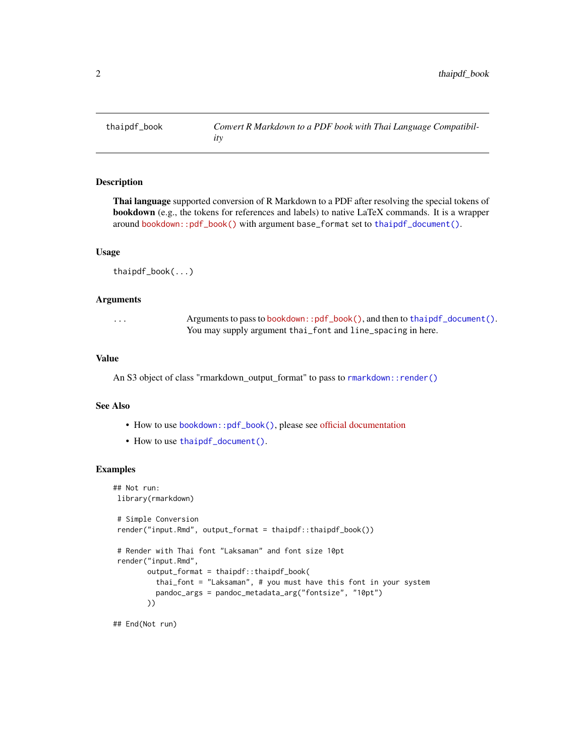<span id="page-1-1"></span><span id="page-1-0"></span>

#### Description

Thai language supported conversion of R Markdown to a PDF after resolving the special tokens of bookdown (e.g., the tokens for references and labels) to native LaTeX commands. It is a wrapper around [bookdown::pdf\\_book\(\)](https://pkgs.rstudio.com/bookdown/reference/pdf_book.html) with argument base\_format set to [thaipdf\\_document\(\)](#page-2-1).

#### Usage

thaipdf\_book(...)

#### Arguments

... Arguments to pass to [bookdown::pdf\\_book\(\)](https://pkgs.rstudio.com/bookdown/reference/pdf_book.html), and then to [thaipdf\\_document\(\)](#page-2-1). You may supply argument thai\_font and line\_spacing in here.

#### Value

An S3 object of class "rmarkdown\_output\_format" to pass to [rmarkdown::render\(\)](#page-0-0)

#### See Also

- How to use bookdown:: pdf\_book(), please see [official documentation](https://bookdown.org/yihui/bookdown/latexpdf.html)
- How to use [thaipdf\\_document\(\)](#page-2-1).

#### Examples

```
## Not run:
library(rmarkdown)
# Simple Conversion
render("input.Rmd", output_format = thaipdf::thaipdf_book())
# Render with Thai font "Laksaman" and font size 10pt
render("input.Rmd",
       output_format = thaipdf::thaipdf_book(
         thai_font = "Laksaman", # you must have this font in your system
         pandoc_args = pandoc_metadata_arg("fontsize", "10pt")
       ))
```
## End(Not run)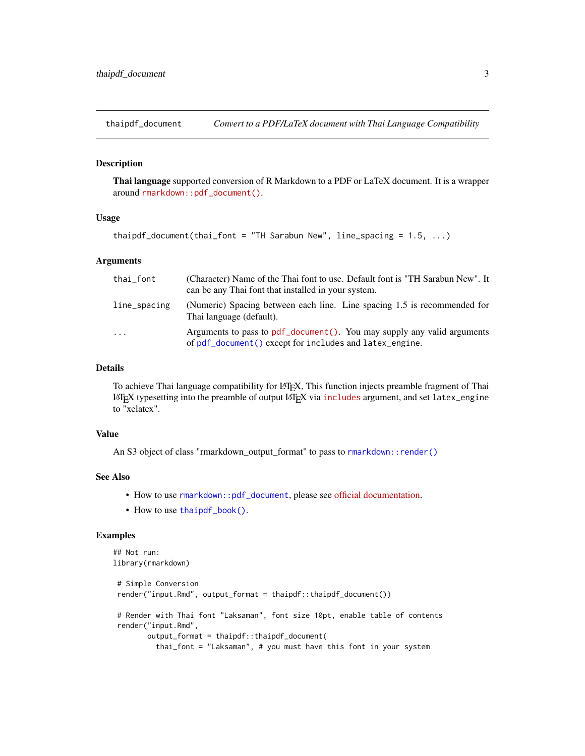<span id="page-2-1"></span><span id="page-2-0"></span>

#### Description

Thai language supported conversion of R Markdown to a PDF or LaTeX document. It is a wrapper around [rmarkdown::pdf\\_document\(\)](https://pkgs.rstudio.com/rmarkdown/reference/pdf_document.html).

#### Usage

thaipdf\_document(thai\_font = "TH Sarabun New", line\_spacing =  $1.5, ...$ )

#### Arguments

| thai_font    | (Character) Name of the Thai font to use. Default font is "TH Sarabun New". It<br>can be any Thai font that installed in your system. |
|--------------|---------------------------------------------------------------------------------------------------------------------------------------|
| line_spacing | (Numeric) Spacing between each line. Line spacing 1.5 is recommended for<br>Thai language (default).                                  |
| .            | Arguments to pass to pdf_document(). You may supply any valid arguments<br>of pdf_document() except for includes and latex_engine.    |

#### Details

To achieve Thai language compatibility for LATEX, This function injects preamble fragment of Thai LATEX typesetting into the preamble of output LATEX via [includes](https://pkgs.rstudio.com/rmarkdown/reference/includes.html) argument, and set latex\_engine to "xelatex".

#### Value

An S3 object of class "rmarkdown\_output\_format" to pass to [rmarkdown::render\(\)](#page-0-0)

#### See Also

- How to use [rmarkdown::pdf\\_document](#page-0-0), please see [official documentation.](https://bookdown.org/yihui/rmarkdown/pdf-document.html#other-features)
- How to use [thaipdf\\_book\(\)](#page-1-1).

#### Examples

```
## Not run:
library(rmarkdown)
# Simple Conversion
 render("input.Rmd", output_format = thaipdf::thaipdf_document())
 # Render with Thai font "Laksaman", font size 10pt, enable table of contents
 render("input.Rmd",
       output_format = thaipdf::thaipdf_document(
         thai_font = "Laksaman", # you must have this font in your system
```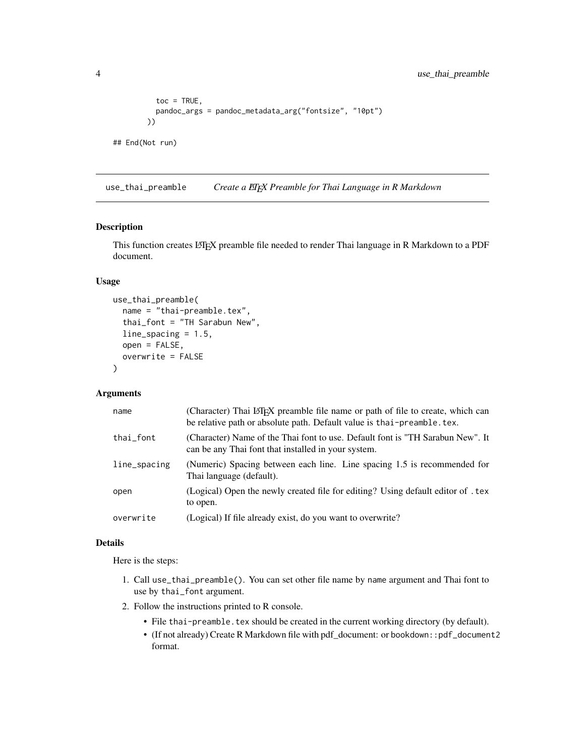```
toc = TRUE,pandoc_args = pandoc_metadata_arg("fontsize", "10pt")
       ))
## End(Not run)
```
use\_thai\_preamble *Create a LATEX Preamble for Thai Language in R Markdown*

#### Description

This function creates LATEX preamble file needed to render Thai language in R Markdown to a PDF document.

#### Usage

```
use_thai_preamble(
  name = "thai-preamble.tex",
  thai_font = "TH Sarabun New",
  line_spacing = 1.5,
  open = FALSE,
  overwrite = FALSE
)
```
#### Arguments

| name         | (Character) Thai LATEX preamble file name or path of file to create, which can<br>be relative path or absolute path. Default value is thai-preamble. tex. |
|--------------|-----------------------------------------------------------------------------------------------------------------------------------------------------------|
| thai_font    | (Character) Name of the Thai font to use. Default font is "TH Sarabun New". It<br>can be any Thai font that installed in your system.                     |
| line_spacing | (Numeric) Spacing between each line. Line spacing 1.5 is recommended for<br>Thai language (default).                                                      |
| open         | (Logical) Open the newly created file for editing? Using default editor of . tex<br>to open.                                                              |
| overwrite    | (Logical) If file already exist, do you want to overwrite?                                                                                                |

#### Details

Here is the steps:

- 1. Call use\_thai\_preamble(). You can set other file name by name argument and Thai font to use by thai\_font argument.
- 2. Follow the instructions printed to R console.
	- File thai-preamble.tex should be created in the current working directory (by default).
	- (If not already) Create R Markdown file with pdf\_document: or bookdown::pdf\_document2 format.

<span id="page-3-0"></span>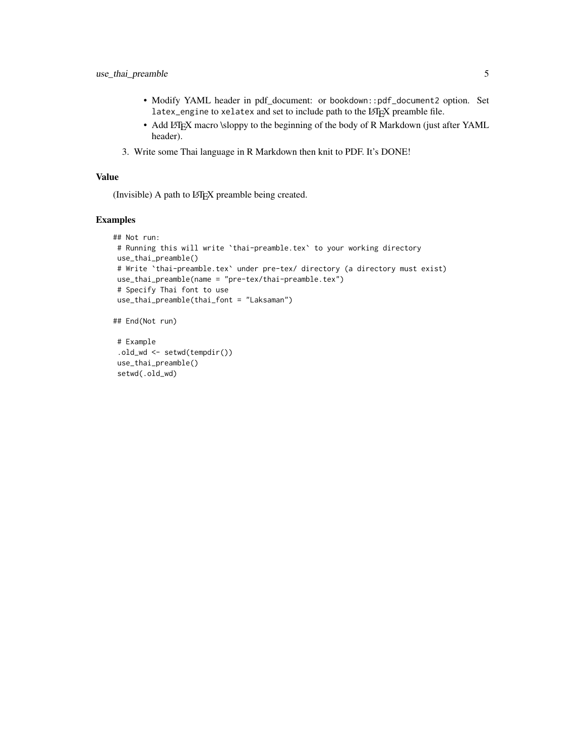- Modify YAML header in pdf\_document: or bookdown::pdf\_document2 option. Set latex\_engine to xelatex and set to include path to the LATEX preamble file.
- Add LATEX macro \sloppy to the beginning of the body of R Markdown (just after YAML header).
- 3. Write some Thai language in R Markdown then knit to PDF. It's DONE!

#### Value

(Invisible) A path to LATEX preamble being created.

#### Examples

```
## Not run:
# Running this will write `thai-preamble.tex` to your working directory
use_thai_preamble()
# Write 'thai-preamble.tex' under pre-tex/ directory (a directory must exist)
use_thai_preamble(name = "pre-tex/thai-preamble.tex")
# Specify Thai font to use
use_thai_preamble(thai_font = "Laksaman")
```

```
## End(Not run)
```

```
# Example
.old_wd <- setwd(tempdir())
use_thai_preamble()
setwd(.old_wd)
```